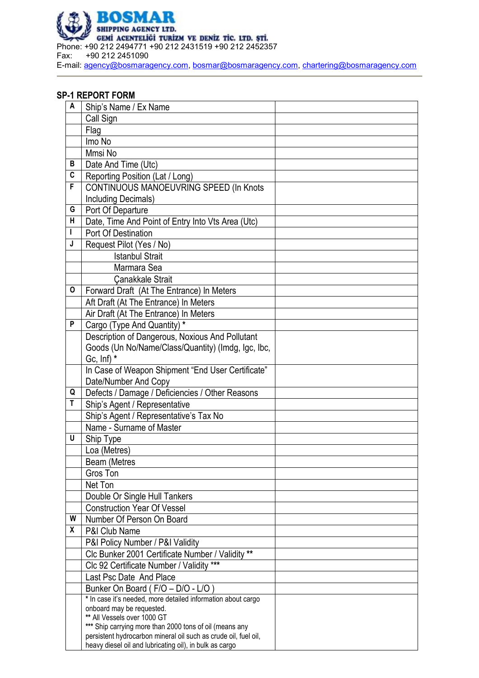

## **SP-1 REPORT FORM**

| A                       | Ship's Name / Ex Name                                           |  |
|-------------------------|-----------------------------------------------------------------|--|
|                         | Call Sign                                                       |  |
|                         | Flag                                                            |  |
|                         | Imo No                                                          |  |
|                         | Mmsi No                                                         |  |
| В                       | Date And Time (Utc)                                             |  |
| $\overline{\mathbf{c}}$ | Reporting Position (Lat / Long)                                 |  |
| F                       | CONTINUOUS MANOEUVRING SPEED (In Knots                          |  |
|                         | Including Decimals)                                             |  |
| G                       | Port Of Departure                                               |  |
| н                       | Date, Time And Point of Entry Into Vts Area (Utc)               |  |
|                         | Port Of Destination                                             |  |
| J                       | Request Pilot (Yes / No)                                        |  |
|                         | <b>Istanbul Strait</b>                                          |  |
|                         | Marmara Sea                                                     |  |
|                         | <b>Çanakkale Strait</b>                                         |  |
| 0                       | Forward Draft (At The Entrance) In Meters                       |  |
|                         | Aft Draft (At The Entrance) In Meters                           |  |
|                         | Air Draft (At The Entrance) In Meters                           |  |
| P                       | Cargo (Type And Quantity) *                                     |  |
|                         | Description of Dangerous, Noxious And Pollutant                 |  |
|                         | Goods (Un No/Name/Class/Quantity) (Imdg, Igc, Ibc,              |  |
|                         | Gc, $\ln f$ *                                                   |  |
|                         | In Case of Weapon Shipment "End User Certificate"               |  |
|                         | Date/Number And Copy                                            |  |
| Q                       | Defects / Damage / Deficiencies / Other Reasons                 |  |
| T                       | Ship's Agent / Representative                                   |  |
|                         | Ship's Agent / Representative's Tax No                          |  |
|                         | Name - Surname of Master                                        |  |
| U                       | Ship Type                                                       |  |
|                         | Loa (Metres)                                                    |  |
|                         | <b>Beam (Metres</b>                                             |  |
|                         | Gros Ton                                                        |  |
|                         | Net Ton                                                         |  |
|                         | Double Or Single Hull Tankers                                   |  |
|                         | <b>Construction Year Of Vessel</b>                              |  |
| W                       | Number Of Person On Board                                       |  |
| X                       | P&I Club Name                                                   |  |
|                         | P&I Policy Number / P&I Validity                                |  |
|                         | Clc Bunker 2001 Certificate Number / Validity **                |  |
|                         | Clc 92 Certificate Number / Validity ***                        |  |
|                         | Last Psc Date And Place                                         |  |
|                         | Bunker On Board (F/O - D/O - L/O)                               |  |
|                         | * In case it's needed, more detailed information about cargo    |  |
|                         | onboard may be requested.<br>** All Vessels over 1000 GT        |  |
|                         | *** Ship carrying more than 2000 tons of oil (means any         |  |
|                         | persistent hydrocarbon mineral oil such as crude oil, fuel oil, |  |
|                         | heavy diesel oil and lubricating oil), in bulk as cargo         |  |